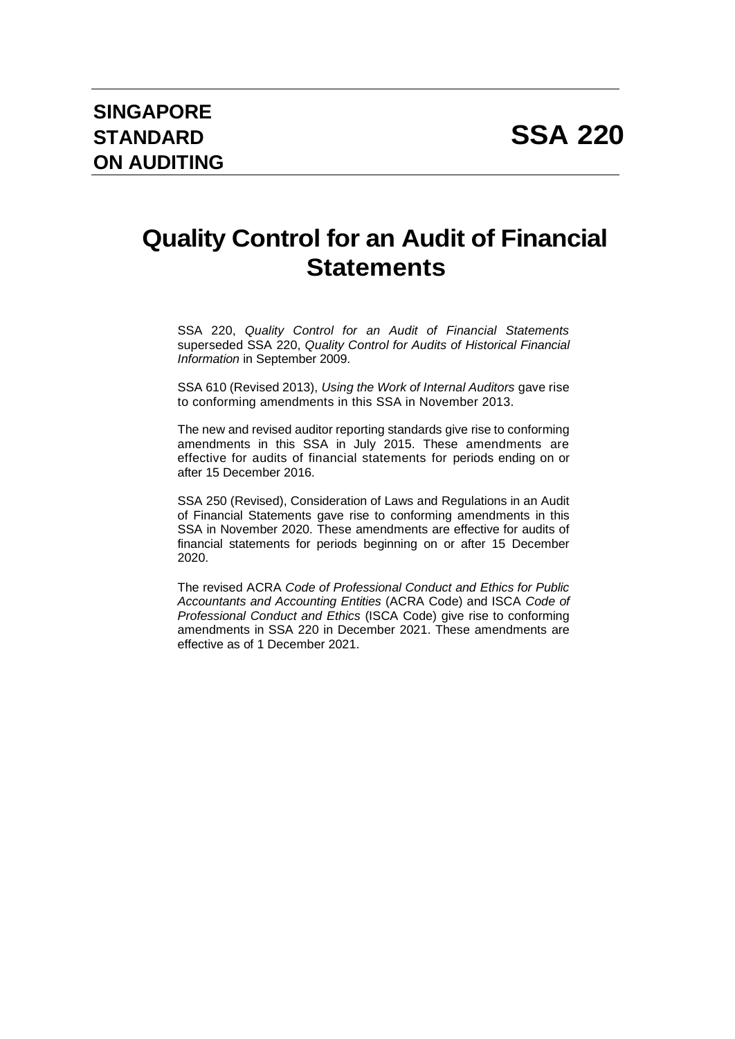# **Quality Control for an Audit of Financial Statements**

SSA 220, *Quality Control for an Audit of Financial Statements* superseded SSA 220, *Quality Control for Audits of Historical Financial Information* in September 2009.

SSA 610 (Revised 2013), *Using the Work of Internal Auditors* gave rise to conforming amendments in this SSA in November 2013.

The new and revised auditor reporting standards give rise to conforming amendments in this SSA in July 2015. These amendments are effective for audits of financial statements for periods ending on or after 15 December 2016.

SSA 250 (Revised), Consideration of Laws and Regulations in an Audit of Financial Statements gave rise to conforming amendments in this SSA in November 2020. These amendments are effective for audits of financial statements for periods beginning on or after 15 December 2020.

The revised ACRA *Code of Professional Conduct and Ethics for Public Accountants and Accounting Entities* (ACRA Code) and ISCA *Code of Professional Conduct and Ethics* (ISCA Code) give rise to conforming amendments in SSA 220 in December 2021. These amendments are effective as of 1 December 2021.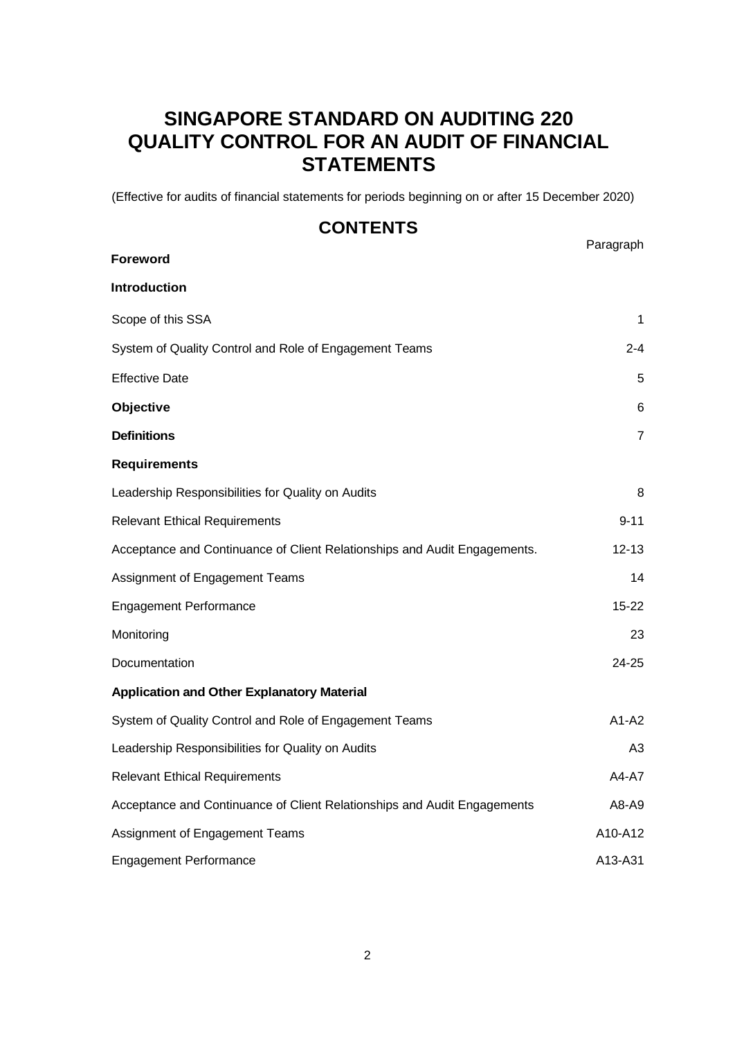# **SINGAPORE STANDARD ON AUDITING 220 QUALITY CONTROL FOR AN AUDIT OF FINANCIAL STATEMENTS**

(Effective for audits of financial statements for periods beginning on or after 15 December 2020)

# **CONTENTS**

Paragraph

**Foreword Introduction** Scope of this SSA 1 System of Quality Control and Role of Engagement Teams 2-4 Effective Date 5 **Objective** 6 **Definitions** 7 **Requirements** Leadership Responsibilities for Quality on Audits **8** 8 Relevant Ethical Requirements **9-11** Section 1 and 200 and 200 and 200 and 200 and 200 and 200 and 200 and 200 and 200 and 200 and 200 and 200 and 200 and 200 and 200 and 200 and 200 and 200 and 200 and 200 and 200 and 200 Acceptance and Continuance of Client Relationships and Audit Engagements. 12-13 Assignment of Engagement Teams 14 Engagement Performance 15-22 Monitoring 23 Documentation 24-25 **Application and Other Explanatory Material** System of Quality Control and Role of Engagement Teams A1-A2 Leadership Responsibilities for Quality on Audits A3 Relevant Ethical Requirements A4-A7 Acceptance and Continuance of Client Relationships and Audit Engagements A8-A9 Assignment of Engagement Teams A10-A12 Engagement Performance A13-A31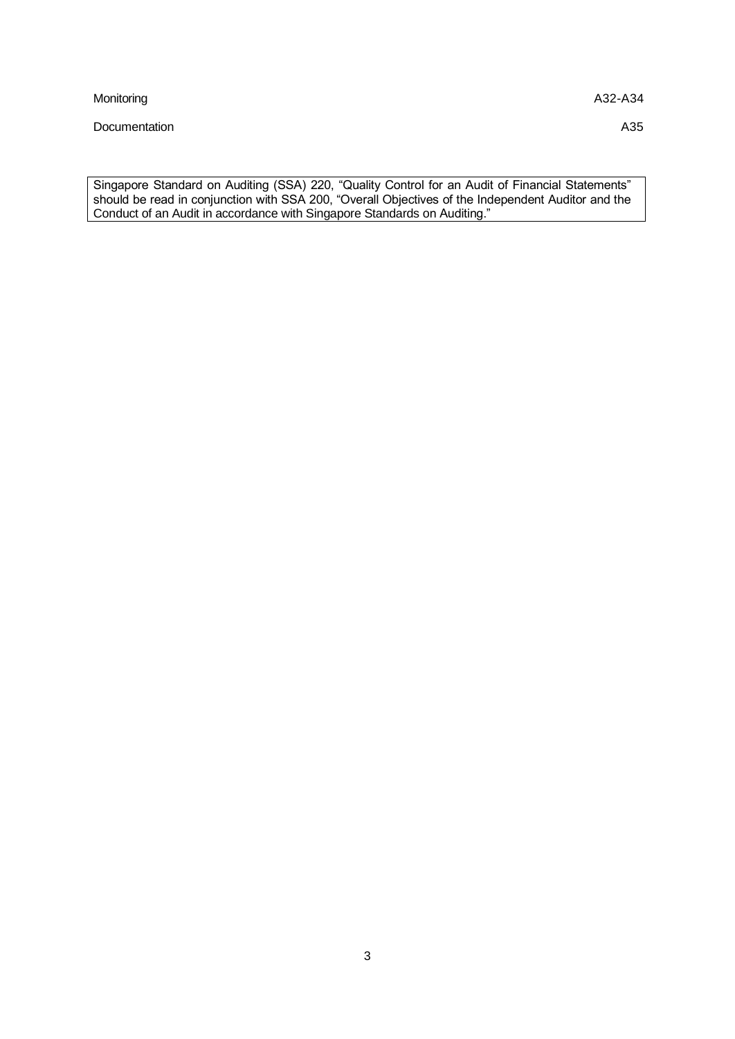Monitoring A32-A34

Documentation A35

Singapore Standard on Auditing (SSA) 220, "Quality Control for an Audit of Financial Statements" should be read in conjunction with SSA 200, "Overall Objectives of the Independent Auditor and the Conduct of an Audit in accordance with Singapore Standards on Auditing."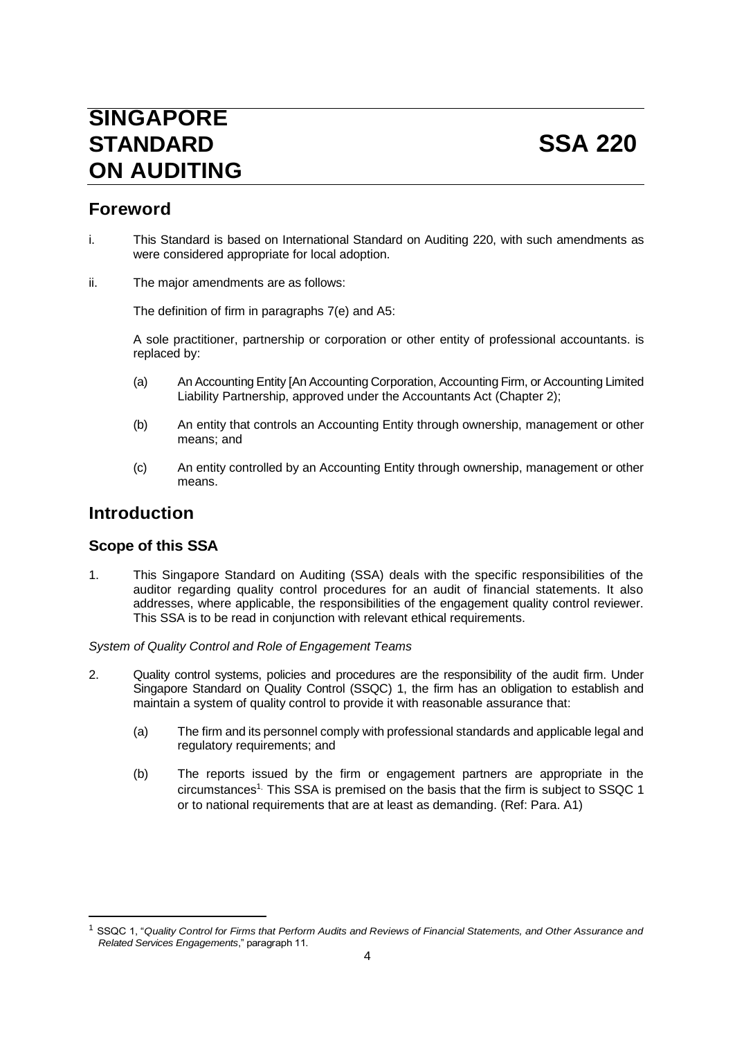# **SINGAPORE STANDARD SSA 220 ON AUDITING**

# **Foreword**

- i. This Standard is based on International Standard on Auditing 220, with such amendments as were considered appropriate for local adoption.
- ii. The major amendments are as follows:

The definition of firm in paragraphs 7(e) and A5:

A sole practitioner, partnership or corporation or other entity of professional accountants. is replaced by:

- (a) An Accounting Entity [An Accounting Corporation, Accounting Firm, or Accounting Limited Liability Partnership, approved under the Accountants Act (Chapter 2);
- (b) An entity that controls an Accounting Entity through ownership, management or other means; and
- (c) An entity controlled by an Accounting Entity through ownership, management or other means.

# **Introduction**

# **Scope of this SSA**

1. This Singapore Standard on Auditing (SSA) deals with the specific responsibilities of the auditor regarding quality control procedures for an audit of financial statements. It also addresses, where applicable, the responsibilities of the engagement quality control reviewer. This SSA is to be read in conjunction with relevant ethical requirements.

#### *System of Quality Control and Role of Engagement Teams*

- 2. Quality control systems, policies and procedures are the responsibility of the audit firm. Under Singapore Standard on Quality Control (SSQC) 1, the firm has an obligation to establish and maintain a system of quality control to provide it with reasonable assurance that:
	- (a) The firm and its personnel comply with professional standards and applicable legal and regulatory requirements; and
	- (b) The reports issued by the firm or engagement partners are appropriate in the  $circumstance<sup>1</sup>$ . This SSA is premised on the basis that the firm is subject to SSQC 1 or to national requirements that are at least as demanding. (Ref: Para. A1)

<sup>1</sup> SSQC 1, "*Quality Control for Firms that Perform Audits and Reviews of Financial Statements, and Other Assurance and Related Services Engagements*," paragraph 11.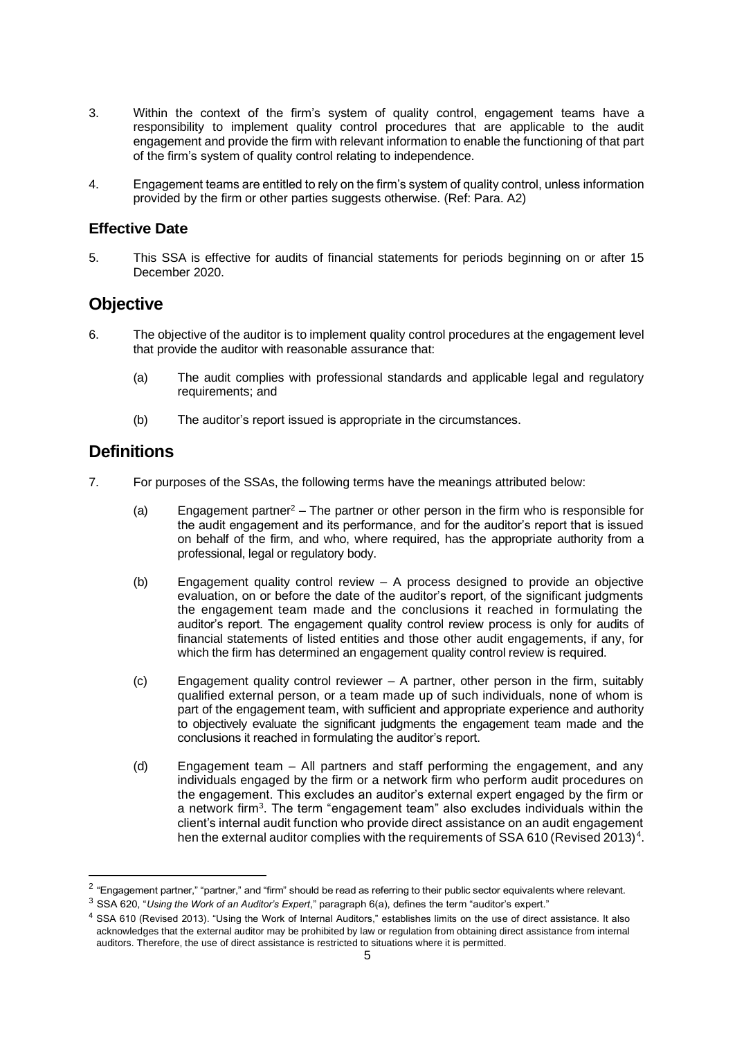- 3. Within the context of the firm's system of quality control, engagement teams have a responsibility to implement quality control procedures that are applicable to the audit engagement and provide the firm with relevant information to enable the functioning of that part of the firm's system of quality control relating to independence.
- 4. Engagement teams are entitled to rely on the firm's system of quality control, unless information provided by the firm or other parties suggests otherwise. (Ref: Para. A2)

## **Effective Date**

5. This SSA is effective for audits of financial statements for periods beginning on or after 15 December 2020.

# **Objective**

- 6. The objective of the auditor is to implement quality control procedures at the engagement level that provide the auditor with reasonable assurance that:
	- (a) The audit complies with professional standards and applicable legal and regulatory requirements; and
	- (b) The auditor's report issued is appropriate in the circumstances.

# **Definitions**

- 7. For purposes of the SSAs, the following terms have the meanings attributed below:
	- (a) Engagement partner<sup>2</sup> The partner or other person in the firm who is responsible for the audit engagement and its performance, and for the auditor's report that is issued on behalf of the firm, and who, where required, has the appropriate authority from a professional, legal or regulatory body.
	- (b) Engagement quality control review A process designed to provide an objective evaluation, on or before the date of the auditor's report, of the significant judgments the engagement team made and the conclusions it reached in formulating the auditor's report. The engagement quality control review process is only for audits of financial statements of listed entities and those other audit engagements, if any, for which the firm has determined an engagement quality control review is required.
	- (c) Engagement quality control reviewer A partner, other person in the firm, suitably qualified external person, or a team made up of such individuals, none of whom is part of the engagement team, with sufficient and appropriate experience and authority to objectively evaluate the significant judgments the engagement team made and the conclusions it reached in formulating the auditor's report.
	- (d) Engagement team All partners and staff performing the engagement, and any individuals engaged by the firm or a network firm who perform audit procedures on the engagement. This excludes an auditor's external expert engaged by the firm or a network firm<sup>3</sup>. The term "engagement team" also excludes individuals within the client's internal audit function who provide direct assistance on an audit engagement hen the external auditor complies with the requirements of SSA 610 (Revised 2013)<sup>4</sup>.

 $^2$  "Engagement partner," "partner," and "firm" should be read as referring to their public sector equivalents where relevant.

<sup>3</sup> SSA 620, "*Using the Work of an Auditor's Expert*," paragraph 6(a), defines the term "auditor's expert."

<sup>&</sup>lt;sup>4</sup> SSA 610 (Revised 2013). "Using the Work of Internal Auditors," establishes limits on the use of direct assistance. It also acknowledges that the external auditor may be prohibited by law or regulation from obtaining direct assistance from internal auditors. Therefore, the use of direct assistance is restricted to situations where it is permitted.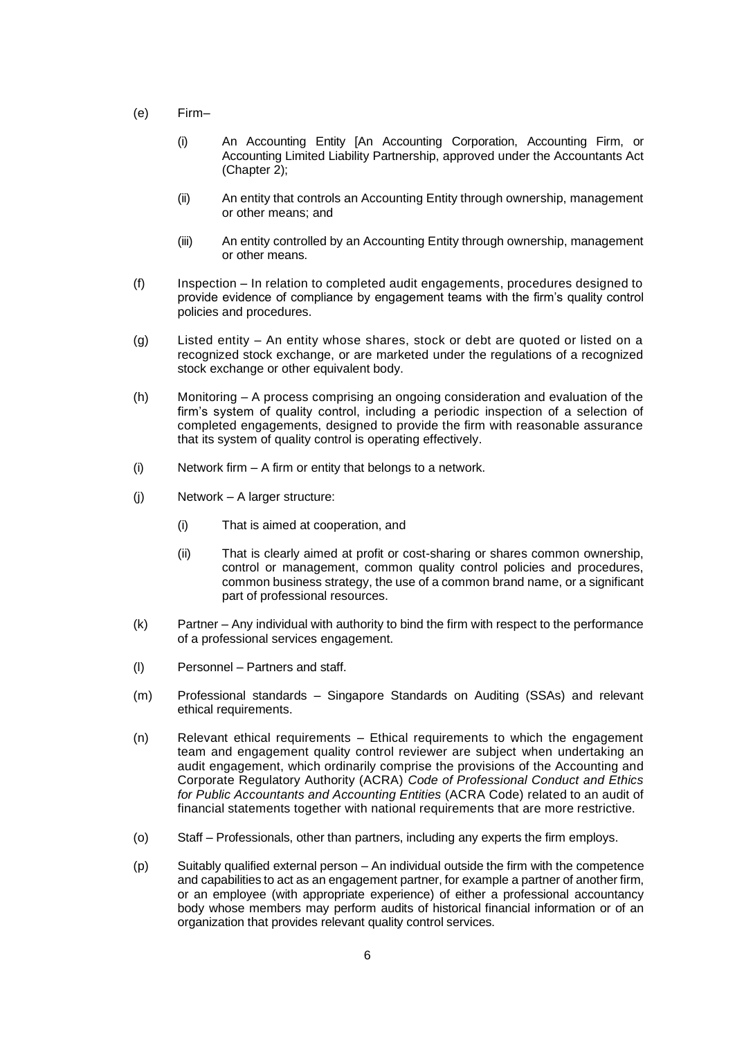- (e) Firm–
	- (i) An Accounting Entity [An Accounting Corporation, Accounting Firm, or Accounting Limited Liability Partnership, approved under the Accountants Act (Chapter 2):
	- (ii) An entity that controls an Accounting Entity through ownership, management or other means; and
	- (iii) An entity controlled by an Accounting Entity through ownership, management or other means.
- (f) Inspection In relation to completed audit engagements, procedures designed to provide evidence of compliance by engagement teams with the firm's quality control policies and procedures.
- (g) Listed entity An entity whose shares, stock or debt are quoted or listed on a recognized stock exchange, or are marketed under the regulations of a recognized stock exchange or other equivalent body.
- (h) Monitoring A process comprising an ongoing consideration and evaluation of the firm's system of quality control, including a periodic inspection of a selection of completed engagements, designed to provide the firm with reasonable assurance that its system of quality control is operating effectively.
- (i) Network firm A firm or entity that belongs to a network.
- (j) Network A larger structure:
	- (i) That is aimed at cooperation, and
	- (ii) That is clearly aimed at profit or cost-sharing or shares common ownership, control or management, common quality control policies and procedures, common business strategy, the use of a common brand name, or a significant part of professional resources.
- (k) Partner Any individual with authority to bind the firm with respect to the performance of a professional services engagement.
- (l) Personnel Partners and staff.
- (m) Professional standards Singapore Standards on Auditing (SSAs) and relevant ethical requirements.
- (n) Relevant ethical requirements Ethical requirements to which the engagement team and engagement quality control reviewer are subject when undertaking an audit engagement, which ordinarily comprise the provisions of the Accounting and Corporate Regulatory Authority (ACRA) *Code of Professional Conduct and Ethics for Public Accountants and Accounting Entities* (ACRA Code) related to an audit of financial statements together with national requirements that are more restrictive.
- (o) Staff Professionals, other than partners, including any experts the firm employs.
- (p) Suitably qualified external person An individual outside the firm with the competence and capabilities to act as an engagement partner, for example a partner of another firm, or an employee (with appropriate experience) of either a professional accountancy body whose members may perform audits of historical financial information or of an organization that provides relevant quality control services.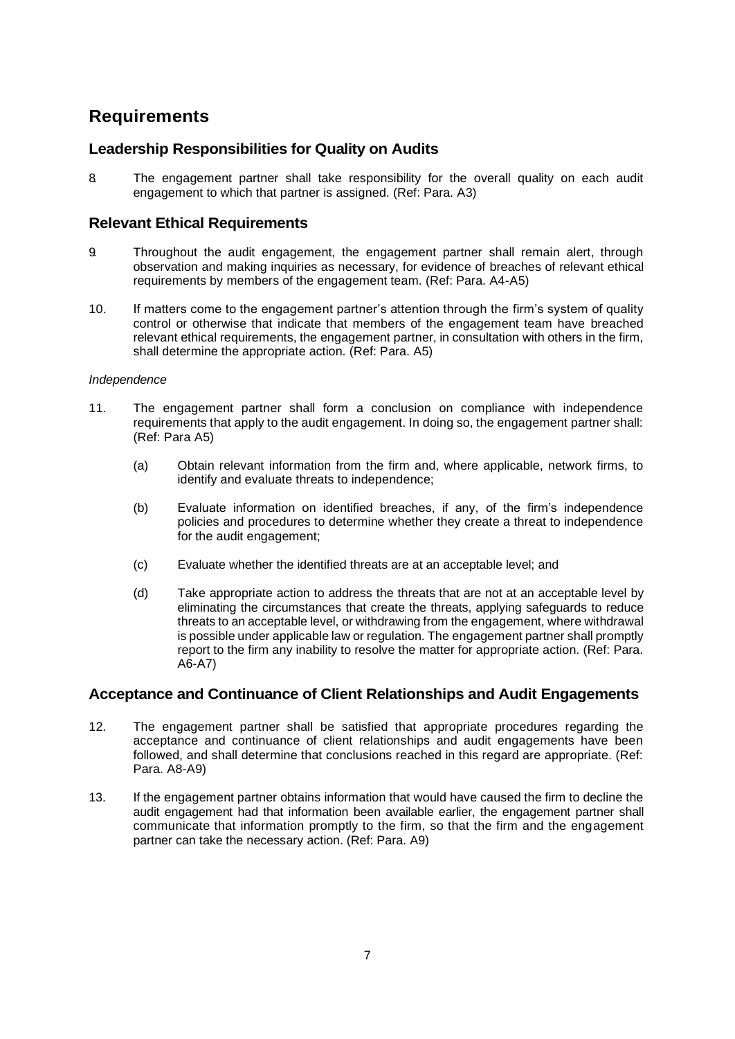# **Requirements**

# **Leadership Responsibilities for Quality on Audits**

8. The engagement partner shall take responsibility for the overall quality on each audit engagement to which that partner is assigned. (Ref: Para. A3)

### **Relevant Ethical Requirements**

- 9. Throughout the audit engagement, the engagement partner shall remain alert, through observation and making inquiries as necessary, for evidence of breaches of relevant ethical requirements by members of the engagement team. (Ref: Para. A4-A5)
- 10. If matters come to the engagement partner's attention through the firm's system of quality control or otherwise that indicate that members of the engagement team have breached relevant ethical requirements, the engagement partner, in consultation with others in the firm, shall determine the appropriate action. (Ref: Para. A5)

#### *Independence*

- 11. The engagement partner shall form a conclusion on compliance with independence requirements that apply to the audit engagement. In doing so, the engagement partner shall: (Ref: Para A5)
	- (a) Obtain relevant information from the firm and, where applicable, network firms, to identify and evaluate threats to independence;
	- (b) Evaluate information on identified breaches, if any, of the firm's independence policies and procedures to determine whether they create a threat to independence for the audit engagement;
	- (c) Evaluate whether the identified threats are at an acceptable level; and
	- (d) Take appropriate action to address the threats that are not at an acceptable level by eliminating the circumstances that create the threats, applying safeguards to reduce threats to an acceptable level, or withdrawing from the engagement, where withdrawal is possible under applicable law or regulation. The engagement partner shall promptly report to the firm any inability to resolve the matter for appropriate action. (Ref: Para. A6-A7)

## **Acceptance and Continuance of Client Relationships and Audit Engagements**

- 12. The engagement partner shall be satisfied that appropriate procedures regarding the acceptance and continuance of client relationships and audit engagements have been followed, and shall determine that conclusions reached in this regard are appropriate. (Ref: Para. A8-A9)
- 13. If the engagement partner obtains information that would have caused the firm to decline the audit engagement had that information been available earlier, the engagement partner shall communicate that information promptly to the firm, so that the firm and the engagement partner can take the necessary action. (Ref: Para. A9)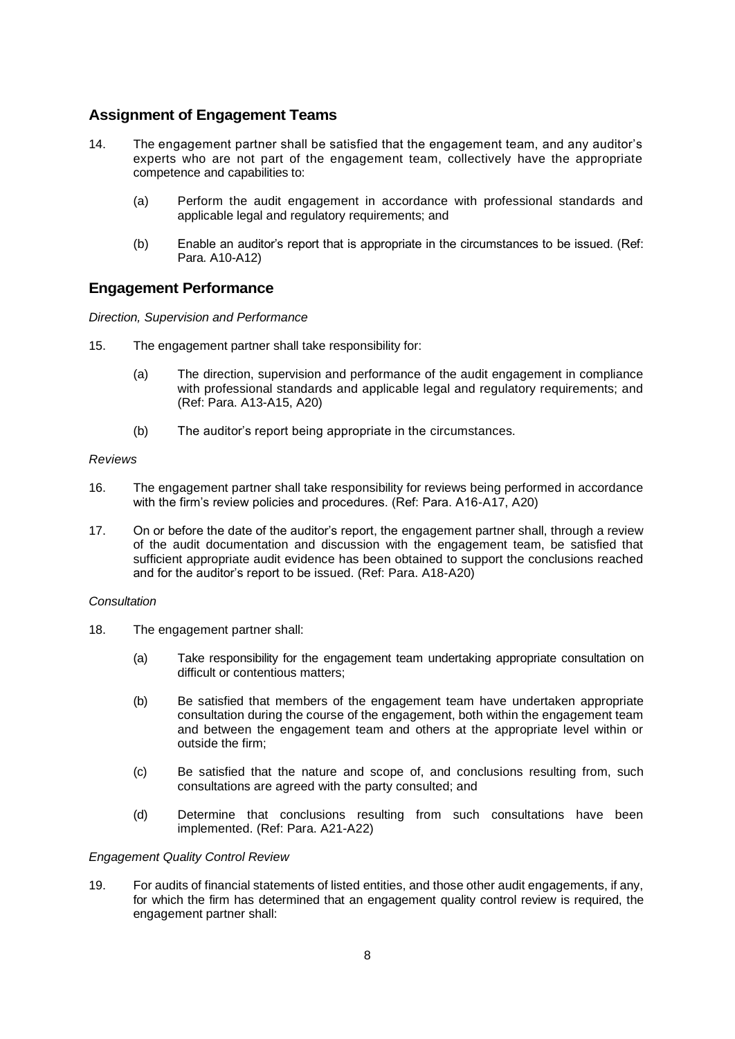## **Assignment of Engagement Teams**

- 14. The engagement partner shall be satisfied that the engagement team, and any auditor's experts who are not part of the engagement team, collectively have the appropriate competence and capabilities to:
	- (a) Perform the audit engagement in accordance with professional standards and applicable legal and regulatory requirements; and
	- (b) Enable an auditor's report that is appropriate in the circumstances to be issued. (Ref: Para. A10-A12)

### **Engagement Performance**

*Direction, Supervision and Performance*

- 15. The engagement partner shall take responsibility for:
	- (a) The direction, supervision and performance of the audit engagement in compliance with professional standards and applicable legal and regulatory requirements; and (Ref: Para. A13-A15, A20)
	- (b) The auditor's report being appropriate in the circumstances.

#### *Reviews*

- 16. The engagement partner shall take responsibility for reviews being performed in accordance with the firm's review policies and procedures. (Ref: Para. A16-A17, A20)
- 17. On or before the date of the auditor's report, the engagement partner shall, through a review of the audit documentation and discussion with the engagement team, be satisfied that sufficient appropriate audit evidence has been obtained to support the conclusions reached and for the auditor's report to be issued. (Ref: Para. A18-A20)

#### *Consultation*

- 18. The engagement partner shall:
	- (a) Take responsibility for the engagement team undertaking appropriate consultation on difficult or contentious matters;
	- (b) Be satisfied that members of the engagement team have undertaken appropriate consultation during the course of the engagement, both within the engagement team and between the engagement team and others at the appropriate level within or outside the firm;
	- (c) Be satisfied that the nature and scope of, and conclusions resulting from, such consultations are agreed with the party consulted; and
	- (d) Determine that conclusions resulting from such consultations have been implemented. (Ref: Para. A21-A22)

#### *Engagement Quality Control Review*

19. For audits of financial statements of listed entities, and those other audit engagements, if any, for which the firm has determined that an engagement quality control review is required, the engagement partner shall: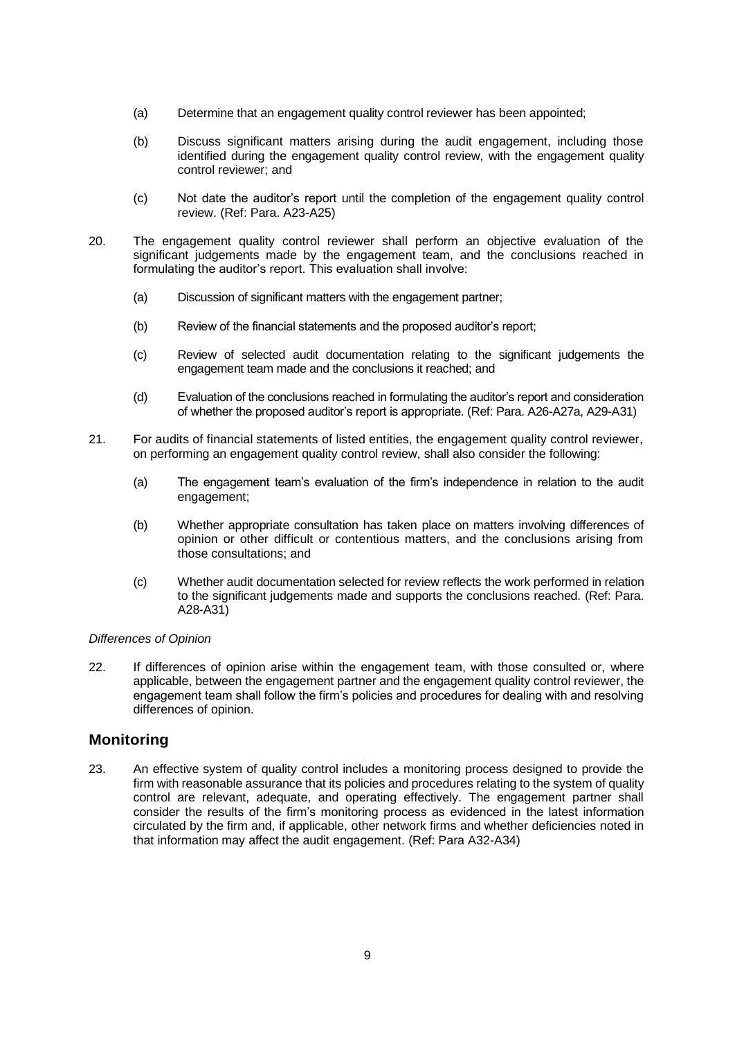- (a) Determine that an engagement quality control reviewer has been appointed;
- (b) Discuss significant matters arising during the audit engagement, including those identified during the engagement quality control review, with the engagement quality control reviewer; and
- (c) Not date the auditor's report until the completion of the engagement quality control review. (Ref: Para. A23-A25)
- 20. The engagement quality control reviewer shall perform an objective evaluation of the significant judgements made by the engagement team, and the conclusions reached in formulating the auditor's report. This evaluation shall involve:
	- (a) Discussion of significant matters with the engagement partner;
	- (b) Review of the financial statements and the proposed auditor's report;
	- (c) Review of selected audit documentation relating to the significant judgements the engagement team made and the conclusions it reached; and
	- (d) Evaluation of the conclusions reached in formulating the auditor's report and consideration of whether the proposed auditor's report is appropriate. (Ref: Para. A26-A27a, A29-A31)
- 21. For audits of financial statements of listed entities, the engagement quality control reviewer, on performing an engagement quality control review, shall also consider the following:
	- (a) The engagement team's evaluation of the firm's independence in relation to the audit engagement;
	- (b) Whether appropriate consultation has taken place on matters involving differences of opinion or other difficult or contentious matters, and the conclusions arising from those consultations; and
	- (c) Whether audit documentation selected for review reflects the work performed in relation to the significant judgements made and supports the conclusions reached. (Ref: Para. A28-A31)

#### *Differences of Opinion*

22. If differences of opinion arise within the engagement team, with those consulted or, where applicable, between the engagement partner and the engagement quality control reviewer, the engagement team shall follow the firm's policies and procedures for dealing with and resolving differences of opinion.

## **Monitoring**

23. An effective system of quality control includes a monitoring process designed to provide the firm with reasonable assurance that its policies and procedures relating to the system of quality control are relevant, adequate, and operating effectively. The engagement partner shall consider the results of the firm's monitoring process as evidenced in the latest information circulated by the firm and, if applicable, other network firms and whether deficiencies noted in that information may affect the audit engagement. (Ref: Para A32-A34)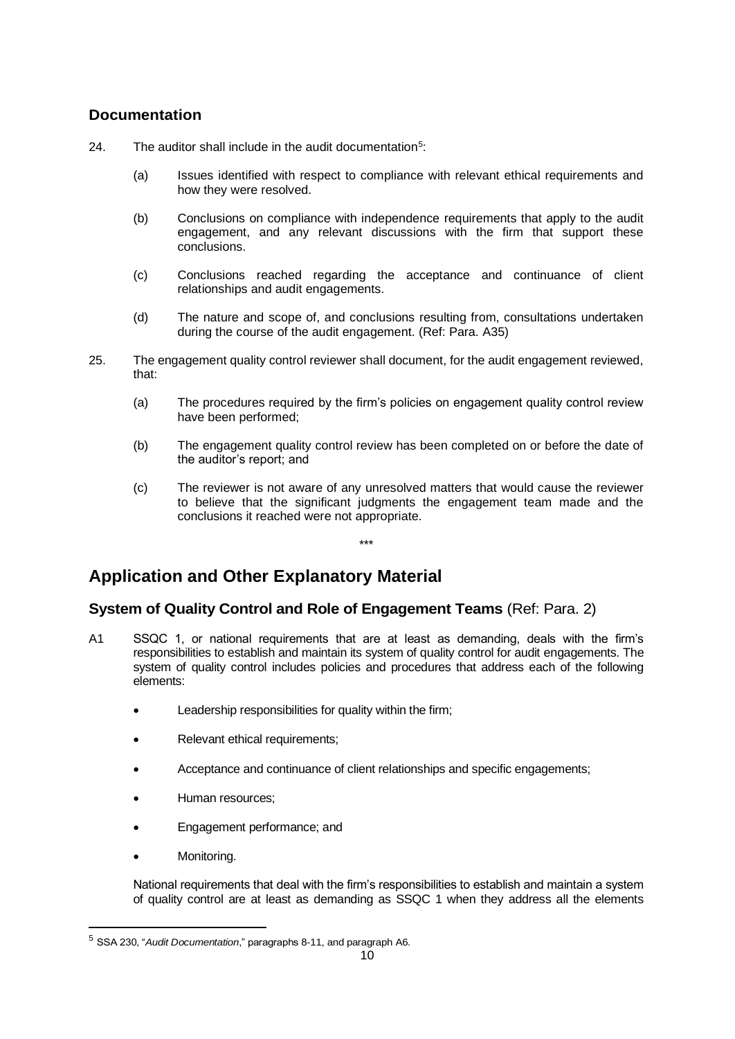# **Documentation**

- 24. The auditor shall include in the audit documentation<sup>5</sup>:
	- (a) Issues identified with respect to compliance with relevant ethical requirements and how they were resolved.
	- (b) Conclusions on compliance with independence requirements that apply to the audit engagement, and any relevant discussions with the firm that support these conclusions.
	- (c) Conclusions reached regarding the acceptance and continuance of client relationships and audit engagements.
	- (d) The nature and scope of, and conclusions resulting from, consultations undertaken during the course of the audit engagement. (Ref: Para. A35)
- 25. The engagement quality control reviewer shall document, for the audit engagement reviewed, that:
	- (a) The procedures required by the firm's policies on engagement quality control review have been performed;
	- (b) The engagement quality control review has been completed on or before the date of the auditor's report; and
	- (c) The reviewer is not aware of any unresolved matters that would cause the reviewer to believe that the significant judgments the engagement team made and the conclusions it reached were not appropriate.

# **Application and Other Explanatory Material**

## **System of Quality Control and Role of Engagement Teams** (Ref: Para. 2)

A1 SSQC 1, or national requirements that are at least as demanding, deals with the firm's responsibilities to establish and maintain its system of quality control for audit engagements. The system of quality control includes policies and procedures that address each of the following elements:

\*\*\*

- Leadership responsibilities for quality within the firm;
- Relevant ethical requirements;
- Acceptance and continuance of client relationships and specific engagements;
- Human resources;
- Engagement performance; and
- Monitoring.

National requirements that deal with the firm's responsibilities to establish and maintain a system of quality control are at least as demanding as SSQC 1 when they address all the elements

<sup>5</sup> SSA 230, "*Audit Documentation*," paragraphs 8-11, and paragraph A6.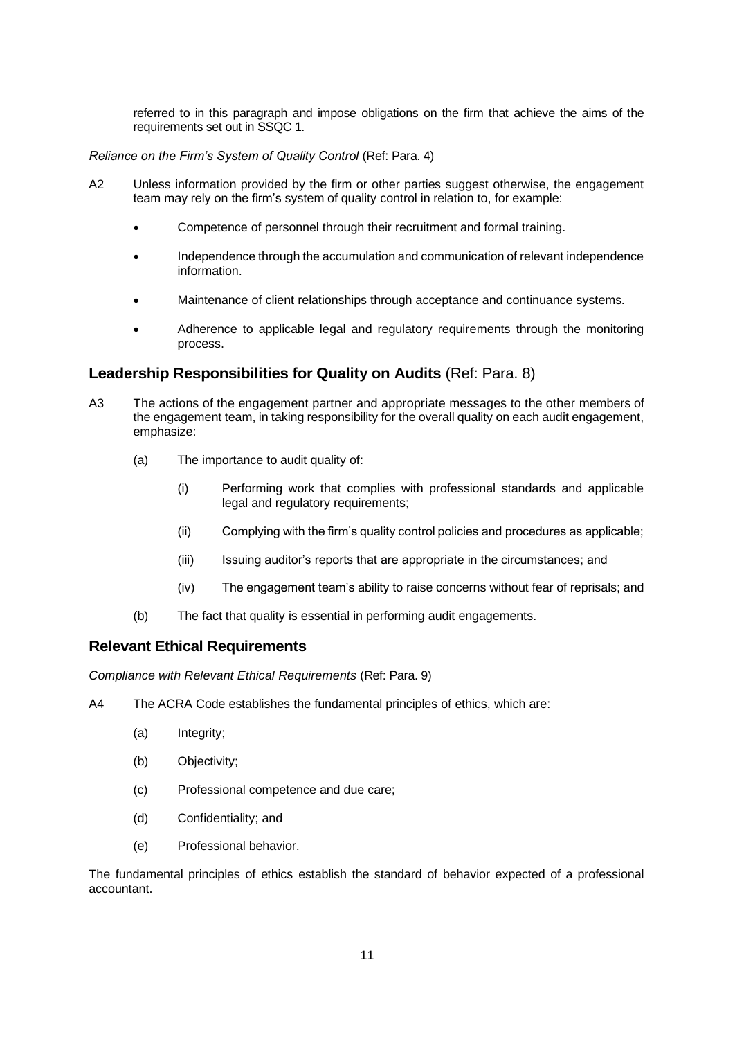referred to in this paragraph and impose obligations on the firm that achieve the aims of the requirements set out in SSQC 1.

#### *Reliance on the Firm's System of Quality Control (Ref: Para. 4)*

- A2 Unless information provided by the firm or other parties suggest otherwise, the engagement team may rely on the firm's system of quality control in relation to, for example:
	- Competence of personnel through their recruitment and formal training.
	- Independence through the accumulation and communication of relevant independence information.
	- Maintenance of client relationships through acceptance and continuance systems.
	- Adherence to applicable legal and regulatory requirements through the monitoring process.

# **Leadership Responsibilities for Quality on Audits** (Ref: Para. 8)

- A3 The actions of the engagement partner and appropriate messages to the other members of the engagement team, in taking responsibility for the overall quality on each audit engagement, emphasize:
	- (a) The importance to audit quality of:
		- (i) Performing work that complies with professional standards and applicable legal and regulatory requirements;
		- (ii) Complying with the firm's quality control policies and procedures as applicable;
		- (iii) Issuing auditor's reports that are appropriate in the circumstances; and
		- (iv) The engagement team's ability to raise concerns without fear of reprisals; and
	- (b) The fact that quality is essential in performing audit engagements.

#### **Relevant Ethical Requirements**

*Compliance with Relevant Ethical Requirements* (Ref: Para. 9)

- A4 The ACRA Code establishes the fundamental principles of ethics, which are:
	- (a) Integrity;
	- (b) Objectivity;
	- (c) Professional competence and due care;
	- (d) Confidentiality; and
	- (e) Professional behavior.

The fundamental principles of ethics establish the standard of behavior expected of a professional accountant.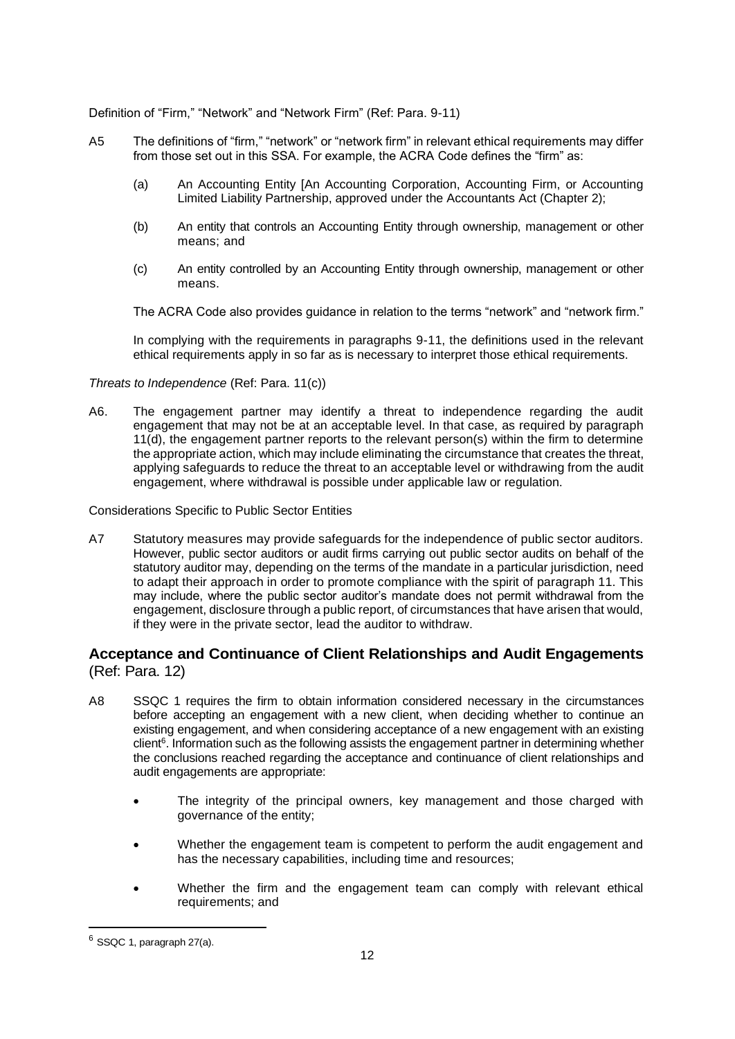Definition of "Firm," "Network" and "Network Firm" (Ref: Para. 9-11)

- A5 The definitions of "firm," "network" or "network firm" in relevant ethical requirements may differ from those set out in this SSA. For example, the ACRA Code defines the "firm" as:
	- (a) An Accounting Entity [An Accounting Corporation, Accounting Firm, or Accounting Limited Liability Partnership, approved under the Accountants Act (Chapter 2);
	- (b) An entity that controls an Accounting Entity through ownership, management or other means; and
	- (c) An entity controlled by an Accounting Entity through ownership, management or other means.

The ACRA Code also provides guidance in relation to the terms "network" and "network firm."

In complying with the requirements in paragraphs 9-11, the definitions used in the relevant ethical requirements apply in so far as is necessary to interpret those ethical requirements.

#### *Threats to Independence* (Ref: Para. 11(c))

A6. The engagement partner may identify a threat to independence regarding the audit engagement that may not be at an acceptable level. In that case, as required by paragraph 11(d), the engagement partner reports to the relevant person(s) within the firm to determine the appropriate action, which may include eliminating the circumstance that creates the threat, applying safeguards to reduce the threat to an acceptable level or withdrawing from the audit engagement, where withdrawal is possible under applicable law or regulation.

Considerations Specific to Public Sector Entities

A7 Statutory measures may provide safeguards for the independence of public sector auditors. However, public sector auditors or audit firms carrying out public sector audits on behalf of the statutory auditor may, depending on the terms of the mandate in a particular jurisdiction, need to adapt their approach in order to promote compliance with the spirit of paragraph 11. This may include, where the public sector auditor's mandate does not permit withdrawal from the engagement, disclosure through a public report, of circumstances that have arisen that would, if they were in the private sector, lead the auditor to withdraw.

## **Acceptance and Continuance of Client Relationships and Audit Engagements**  (Ref: Para. 12)

- A8 SSQC 1 requires the firm to obtain information considered necessary in the circumstances before accepting an engagement with a new client, when deciding whether to continue an existing engagement, and when considering acceptance of a new engagement with an existing client<sup>6</sup>. Information such as the following assists the engagement partner in determining whether the conclusions reached regarding the acceptance and continuance of client relationships and audit engagements are appropriate:
	- The integrity of the principal owners, key management and those charged with governance of the entity;
	- Whether the engagement team is competent to perform the audit engagement and has the necessary capabilities, including time and resources;
	- Whether the firm and the engagement team can comply with relevant ethical requirements; and

 $6$  SSQC 1, paragraph 27(a).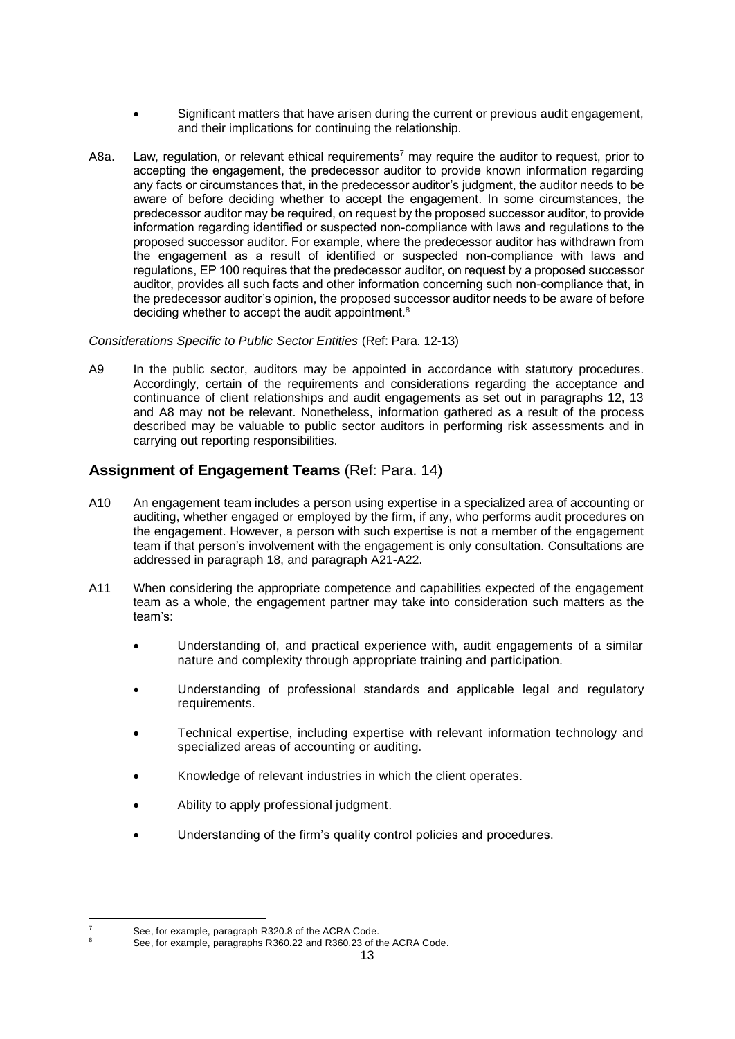- Significant matters that have arisen during the current or previous audit engagement, and their implications for continuing the relationship.
- A8a. Law, regulation, or relevant ethical requirements<sup>7</sup> may require the auditor to request, prior to accepting the engagement, the predecessor auditor to provide known information regarding any facts or circumstances that, in the predecessor auditor's judgment, the auditor needs to be aware of before deciding whether to accept the engagement. In some circumstances, the predecessor auditor may be required, on request by the proposed successor auditor, to provide information regarding identified or suspected non-compliance with laws and regulations to the proposed successor auditor. For example, where the predecessor auditor has withdrawn from the engagement as a result of identified or suspected non-compliance with laws and regulations, EP 100 requires that the predecessor auditor, on request by a proposed successor auditor, provides all such facts and other information concerning such non-compliance that, in the predecessor auditor's opinion, the proposed successor auditor needs to be aware of before deciding whether to accept the audit appointment.<sup>8</sup>

#### *Considerations Specific to Public Sector Entities* (Ref: Para. 12-13)

A9 In the public sector, auditors may be appointed in accordance with statutory procedures. Accordingly, certain of the requirements and considerations regarding the acceptance and continuance of client relationships and audit engagements as set out in paragraphs 12, 13 and A8 may not be relevant. Nonetheless, information gathered as a result of the process described may be valuable to public sector auditors in performing risk assessments and in carrying out reporting responsibilities.

# **Assignment of Engagement Teams** (Ref: Para. 14)

- A10 An engagement team includes a person using expertise in a specialized area of accounting or auditing, whether engaged or employed by the firm, if any, who performs audit procedures on the engagement. However, a person with such expertise is not a member of the engagement team if that person's involvement with the engagement is only consultation. Consultations are addressed in paragraph 18, and paragraph A21-A22.
- A11 When considering the appropriate competence and capabilities expected of the engagement team as a whole, the engagement partner may take into consideration such matters as the team's:
	- Understanding of, and practical experience with, audit engagements of a similar nature and complexity through appropriate training and participation.
	- Understanding of professional standards and applicable legal and regulatory requirements.
	- Technical expertise, including expertise with relevant information technology and specialized areas of accounting or auditing.
	- Knowledge of relevant industries in which the client operates.
	- Ability to apply professional judgment.
	- Understanding of the firm's quality control policies and procedures.

See, for example, paragraph R320.8 of the ACRA Code.

See, for example, paragraphs R360.22 and R360.23 of the ACRA Code.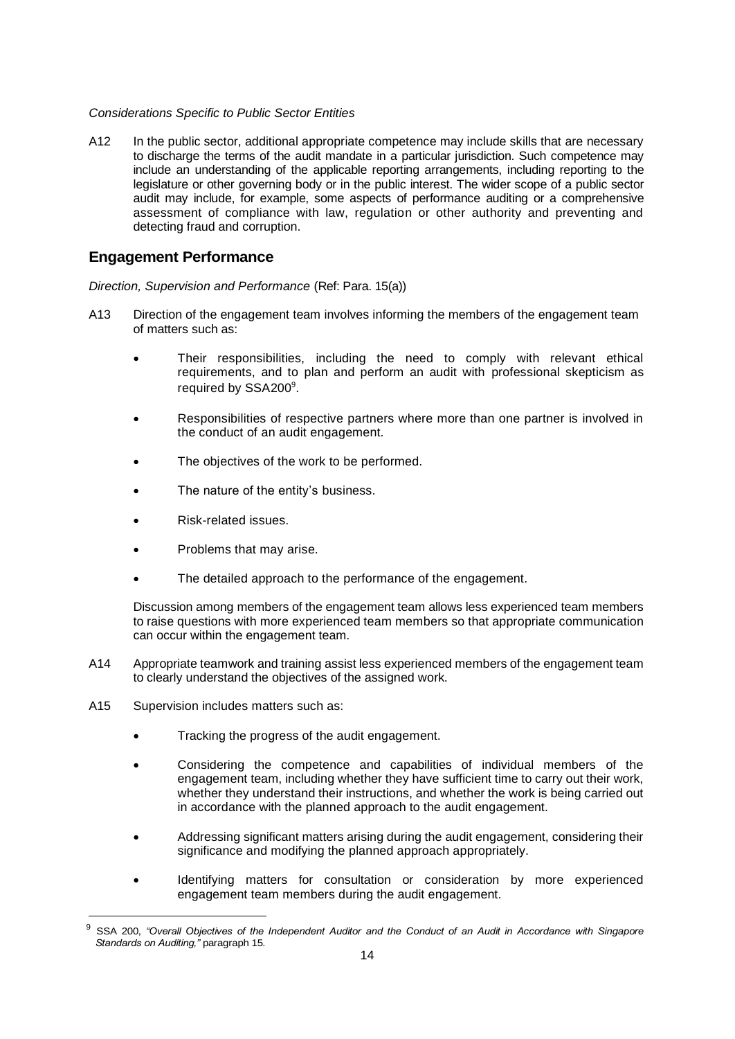#### *Considerations Specific to Public Sector Entities*

A12 In the public sector, additional appropriate competence may include skills that are necessary to discharge the terms of the audit mandate in a particular jurisdiction. Such competence may include an understanding of the applicable reporting arrangements, including reporting to the legislature or other governing body or in the public interest. The wider scope of a public sector audit may include, for example, some aspects of performance auditing or a comprehensive assessment of compliance with law, regulation or other authority and preventing and detecting fraud and corruption.

## **Engagement Performance**

#### *Direction, Supervision and Performance* (Ref: Para. 15(a))

- A13 Direction of the engagement team involves informing the members of the engagement team of matters such as:
	- Their responsibilities, including the need to comply with relevant ethical requirements, and to plan and perform an audit with professional skepticism as required by SSA200<sup>9</sup>.
	- Responsibilities of respective partners where more than one partner is involved in the conduct of an audit engagement.
	- The objectives of the work to be performed.
	- The nature of the entity's business.
	- Risk-related issues.
	- Problems that may arise.
	- The detailed approach to the performance of the engagement.

Discussion among members of the engagement team allows less experienced team members to raise questions with more experienced team members so that appropriate communication can occur within the engagement team.

- A14 Appropriate teamwork and training assist less experienced members of the engagement team to clearly understand the objectives of the assigned work.
- A15 Supervision includes matters such as:
	- Tracking the progress of the audit engagement.
	- Considering the competence and capabilities of individual members of the engagement team, including whether they have sufficient time to carry out their work, whether they understand their instructions, and whether the work is being carried out in accordance with the planned approach to the audit engagement.
	- Addressing significant matters arising during the audit engagement, considering their significance and modifying the planned approach appropriately.
	- Identifying matters for consultation or consideration by more experienced engagement team members during the audit engagement.

<sup>9</sup> SSA 200, *"Overall Objectives of the Independent Auditor and the Conduct of an Audit in Accordance with Singapore Standards on Auditing,"* paragraph 15.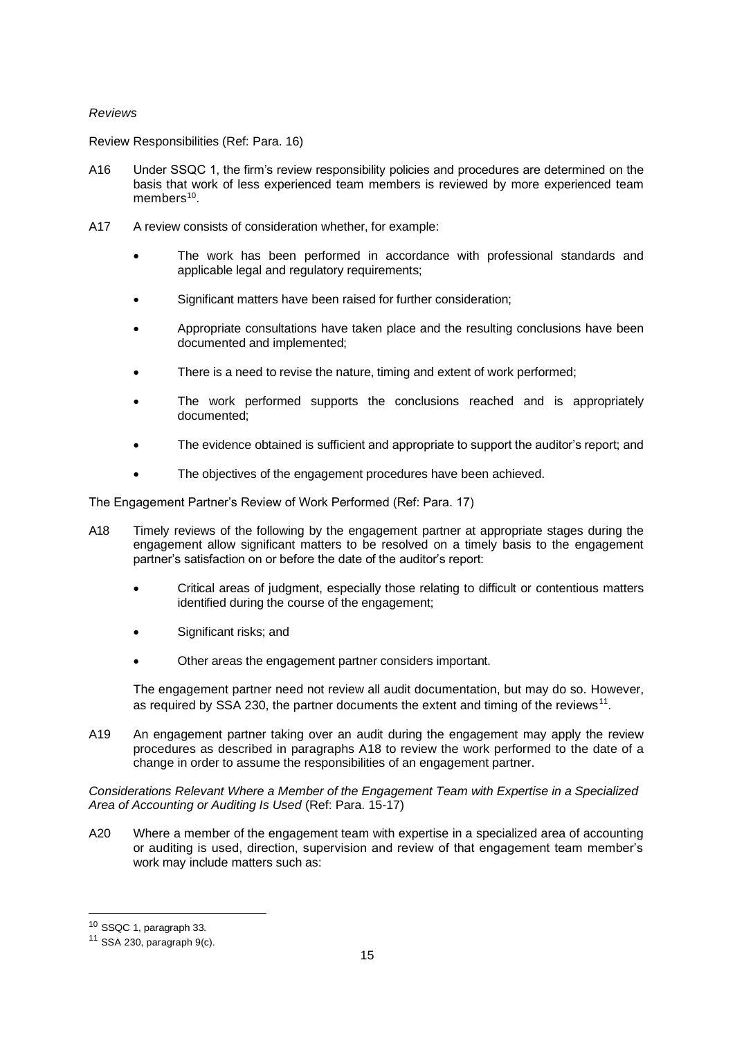#### *Reviews*

Review Responsibilities (Ref: Para. 16)

- A16 Under SSQC 1, the firm's review responsibility policies and procedures are determined on the basis that work of less experienced team members is reviewed by more experienced team members<sup>10</sup>.
- A17 A review consists of consideration whether, for example:
	- The work has been performed in accordance with professional standards and applicable legal and regulatory requirements;
	- Significant matters have been raised for further consideration;
	- Appropriate consultations have taken place and the resulting conclusions have been documented and implemented;
	- There is a need to revise the nature, timing and extent of work performed;
	- The work performed supports the conclusions reached and is appropriately documented;
	- The evidence obtained is sufficient and appropriate to support the auditor's report; and
	- The objectives of the engagement procedures have been achieved.

The Engagement Partner's Review of Work Performed (Ref: Para. 17)

- A18 Timely reviews of the following by the engagement partner at appropriate stages during the engagement allow significant matters to be resolved on a timely basis to the engagement partner's satisfaction on or before the date of the auditor's report:
	- Critical areas of judgment, especially those relating to difficult or contentious matters identified during the course of the engagement;
	- Significant risks; and
	- Other areas the engagement partner considers important.

The engagement partner need not review all audit documentation, but may do so. However, as required by SSA 230, the partner documents the extent and timing of the reviews<sup>11</sup>.

A19 An engagement partner taking over an audit during the engagement may apply the review procedures as described in paragraphs A18 to review the work performed to the date of a change in order to assume the responsibilities of an engagement partner.

*Considerations Relevant Where a Member of the Engagement Team with Expertise in a Specialized Area of Accounting or Auditing Is Used* (Ref: Para. 15-17)

A20 Where a member of the engagement team with expertise in a specialized area of accounting or auditing is used, direction, supervision and review of that engagement team member's work may include matters such as:

<sup>10</sup> SSQC 1, paragraph 33.

 $11$  SSA 230, paragraph 9(c).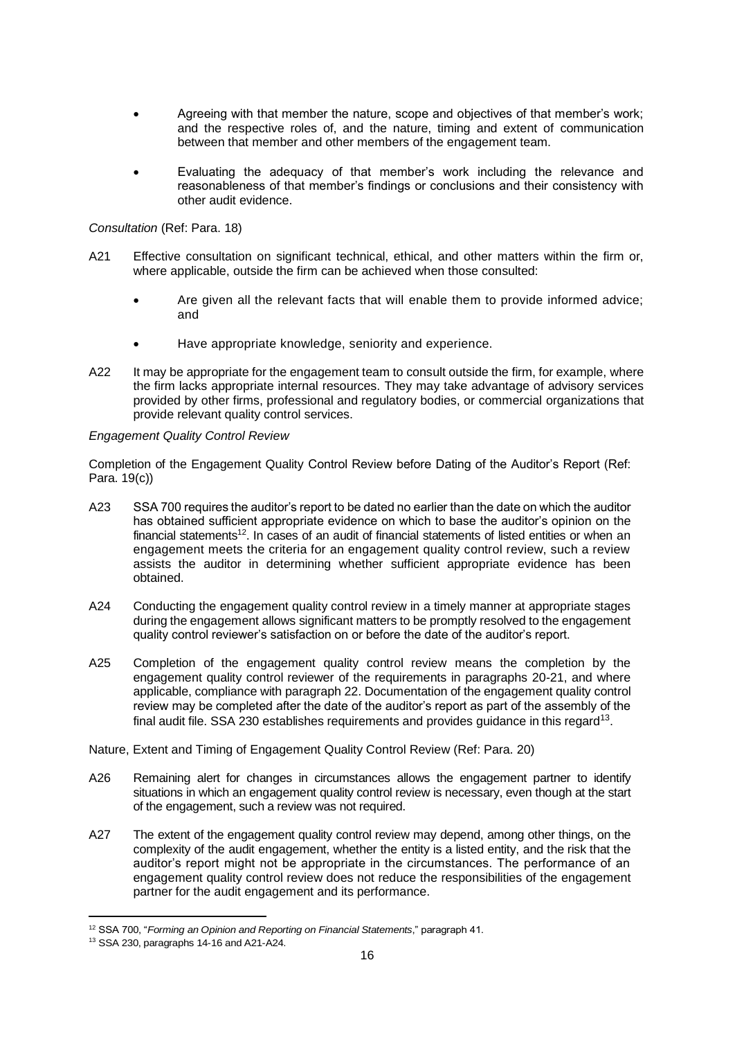- Agreeing with that member the nature, scope and objectives of that member's work; and the respective roles of, and the nature, timing and extent of communication between that member and other members of the engagement team.
- Evaluating the adequacy of that member's work including the relevance and reasonableness of that member's findings or conclusions and their consistency with other audit evidence.

*Consultation* (Ref: Para. 18)

- A21 Effective consultation on significant technical, ethical, and other matters within the firm or, where applicable, outside the firm can be achieved when those consulted:
	- Are given all the relevant facts that will enable them to provide informed advice; and
	- Have appropriate knowledge, seniority and experience.
- A22 It may be appropriate for the engagement team to consult outside the firm, for example, where the firm lacks appropriate internal resources. They may take advantage of advisory services provided by other firms, professional and regulatory bodies, or commercial organizations that provide relevant quality control services.

#### *Engagement Quality Control Review*

Completion of the Engagement Quality Control Review before Dating of the Auditor's Report (Ref: Para. 19(c))

- A23 SSA 700 requires the auditor's report to be dated no earlier than the date on which the auditor has obtained sufficient appropriate evidence on which to base the auditor's opinion on the financial statements<sup>12</sup>. In cases of an audit of financial statements of listed entities or when an engagement meets the criteria for an engagement quality control review, such a review assists the auditor in determining whether sufficient appropriate evidence has been obtained.
- A24 Conducting the engagement quality control review in a timely manner at appropriate stages during the engagement allows significant matters to be promptly resolved to the engagement quality control reviewer's satisfaction on or before the date of the auditor's report.
- A25 Completion of the engagement quality control review means the completion by the engagement quality control reviewer of the requirements in paragraphs 20-21, and where applicable, compliance with paragraph 22. Documentation of the engagement quality control review may be completed after the date of the auditor's report as part of the assembly of the final audit file. SSA 230 establishes requirements and provides guidance in this regard<sup>13</sup>.
- Nature, Extent and Timing of Engagement Quality Control Review (Ref: Para. 20)
- A26 Remaining alert for changes in circumstances allows the engagement partner to identify situations in which an engagement quality control review is necessary, even though at the start of the engagement, such a review was not required.
- A27 The extent of the engagement quality control review may depend, among other things, on the complexity of the audit engagement, whether the entity is a listed entity, and the risk that the auditor's report might not be appropriate in the circumstances. The performance of an engagement quality control review does not reduce the responsibilities of the engagement partner for the audit engagement and its performance.

<sup>12</sup> SSA 700, "*Forming an Opinion and Reporting on Financial Statements*," paragraph 41.

<sup>13</sup> SSA 230, paragraphs 14-16 and A21-A24.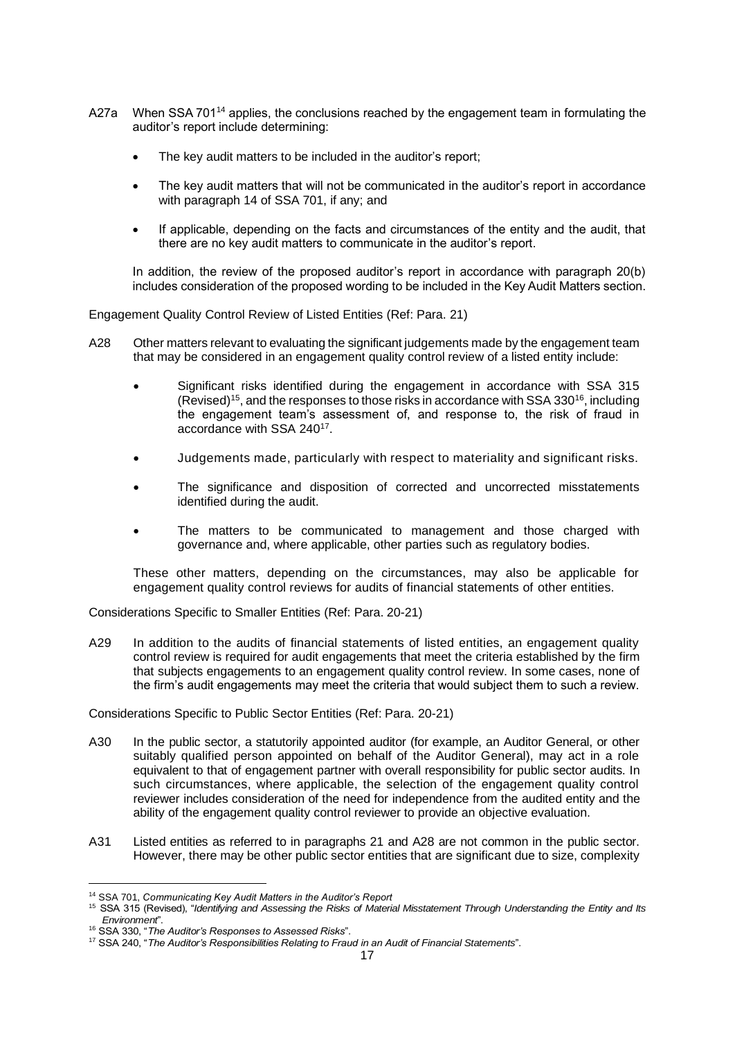- A27a When SSA 701<sup>14</sup> applies, the conclusions reached by the engagement team in formulating the auditor's report include determining:
	- The key audit matters to be included in the auditor's report;
	- The key audit matters that will not be communicated in the auditor's report in accordance with paragraph 14 of SSA 701, if any; and
	- If applicable, depending on the facts and circumstances of the entity and the audit, that there are no key audit matters to communicate in the auditor's report.

In addition, the review of the proposed auditor's report in accordance with paragraph 20(b) includes consideration of the proposed wording to be included in the Key Audit Matters section.

Engagement Quality Control Review of Listed Entities (Ref: Para. 21)

- A28 Other matters relevant to evaluating the significant judgements made by the engagement team that may be considered in an engagement quality control review of a listed entity include:
	- Significant risks identified during the engagement in accordance with SSA 315 (Revised)<sup>15</sup>, and the responses to those risks in accordance with SSA 330<sup>16</sup>, including the engagement team's assessment of, and response to, the risk of fraud in accordance with SSA 240<sup>17</sup>.
	- Judgements made, particularly with respect to materiality and significant risks.
	- The significance and disposition of corrected and uncorrected misstatements identified during the audit.
	- The matters to be communicated to management and those charged with governance and, where applicable, other parties such as regulatory bodies.

These other matters, depending on the circumstances, may also be applicable for engagement quality control reviews for audits of financial statements of other entities.

Considerations Specific to Smaller Entities (Ref: Para. 20-21)

A29 In addition to the audits of financial statements of listed entities, an engagement quality control review is required for audit engagements that meet the criteria established by the firm that subjects engagements to an engagement quality control review. In some cases, none of the firm's audit engagements may meet the criteria that would subject them to such a review.

Considerations Specific to Public Sector Entities (Ref: Para. 20-21)

- A30 In the public sector, a statutorily appointed auditor (for example, an Auditor General, or other suitably qualified person appointed on behalf of the Auditor General), may act in a role equivalent to that of engagement partner with overall responsibility for public sector audits. In such circumstances, where applicable, the selection of the engagement quality control reviewer includes consideration of the need for independence from the audited entity and the ability of the engagement quality control reviewer to provide an objective evaluation.
- A31 Listed entities as referred to in paragraphs 21 and A28 are not common in the public sector. However, there may be other public sector entities that are significant due to size, complexity

<sup>14</sup> SSA 701, *Communicating Key Audit Matters in the Auditor's Report* 

<sup>15</sup> SSA 315 (Revised), "*Identifying and Assessing the Risks of Material Misstatement Through Understanding the Entity and Its Environment*".

<sup>16</sup> SSA 330, "*The Auditor's Responses to Assessed Risks*".

<sup>17</sup> SSA 240, "*The Auditor's Responsibilities Relating to Fraud in an Audit of Financial Statements*".